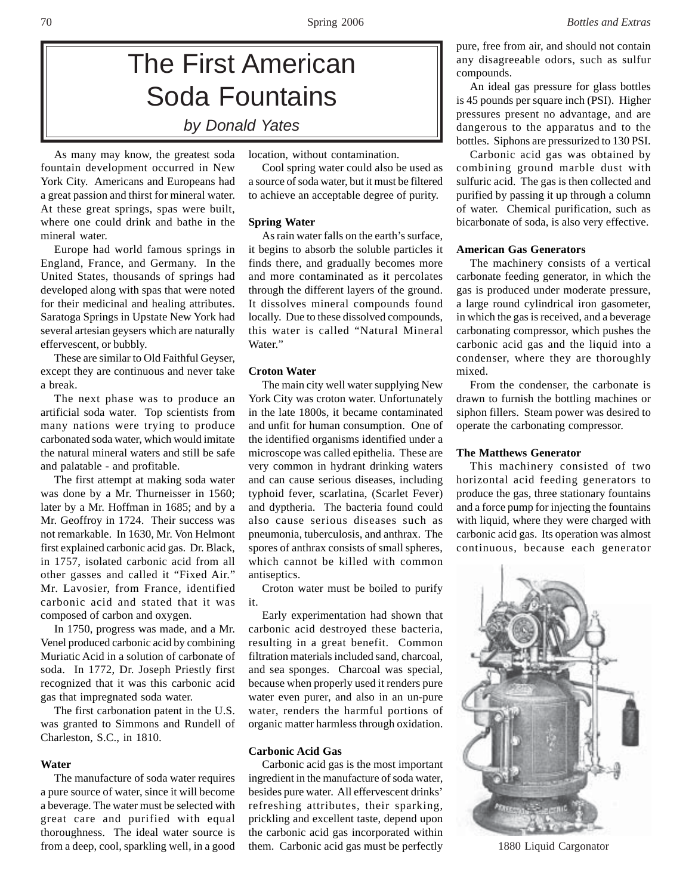# The First American Soda Fountains *by Donald Yates*

As many may know, the greatest soda fountain development occurred in New York City. Americans and Europeans had a great passion and thirst for mineral water. At these great springs, spas were built, where one could drink and bathe in the mineral water.

Europe had world famous springs in England, France, and Germany. In the United States, thousands of springs had developed along with spas that were noted for their medicinal and healing attributes. Saratoga Springs in Upstate New York had several artesian geysers which are naturally effervescent, or bubbly.

These are similar to Old Faithful Geyser, except they are continuous and never take a break.

The next phase was to produce an artificial soda water. Top scientists from many nations were trying to produce carbonated soda water, which would imitate the natural mineral waters and still be safe and palatable - and profitable.

The first attempt at making soda water was done by a Mr. Thurneisser in 1560; later by a Mr. Hoffman in 1685; and by a Mr. Geoffroy in 1724. Their success was not remarkable. In 1630, Mr. Von Helmont first explained carbonic acid gas. Dr. Black, in 1757, isolated carbonic acid from all other gasses and called it "Fixed Air." Mr. Lavosier, from France, identified carbonic acid and stated that it was composed of carbon and oxygen.

In 1750, progress was made, and a Mr. Venel produced carbonic acid by combining Muriatic Acid in a solution of carbonate of soda. In 1772, Dr. Joseph Priestly first recognized that it was this carbonic acid gas that impregnated soda water.

The first carbonation patent in the U.S. was granted to Simmons and Rundell of Charleston, S.C., in 1810.

# **Water**

The manufacture of soda water requires a pure source of water, since it will become a beverage. The water must be selected with great care and purified with equal thoroughness. The ideal water source is from a deep, cool, sparkling well, in a good

location, without contamination.

Cool spring water could also be used as a source of soda water, but it must be filtered to achieve an acceptable degree of purity.

# **Spring Water**

As rain water falls on the earth's surface, it begins to absorb the soluble particles it finds there, and gradually becomes more and more contaminated as it percolates through the different layers of the ground. It dissolves mineral compounds found locally. Due to these dissolved compounds, this water is called "Natural Mineral Water."

### **Croton Water**

The main city well water supplying New York City was croton water. Unfortunately in the late 1800s, it became contaminated and unfit for human consumption. One of the identified organisms identified under a microscope was called epithelia. These are very common in hydrant drinking waters and can cause serious diseases, including typhoid fever, scarlatina, (Scarlet Fever) and dyptheria. The bacteria found could also cause serious diseases such as pneumonia, tuberculosis, and anthrax. The spores of anthrax consists of small spheres, which cannot be killed with common antiseptics.

Croton water must be boiled to purify it.

Early experimentation had shown that carbonic acid destroyed these bacteria, resulting in a great benefit. Common filtration materials included sand, charcoal, and sea sponges. Charcoal was special, because when properly used it renders pure water even purer, and also in an un-pure water, renders the harmful portions of organic matter harmless through oxidation.

#### **Carbonic Acid Gas**

Carbonic acid gas is the most important ingredient in the manufacture of soda water, besides pure water. All effervescent drinks' refreshing attributes, their sparking, prickling and excellent taste, depend upon the carbonic acid gas incorporated within them. Carbonic acid gas must be perfectly

pure, free from air, and should not contain any disagreeable odors, such as sulfur compounds.

An ideal gas pressure for glass bottles is 45 pounds per square inch (PSI). Higher pressures present no advantage, and are dangerous to the apparatus and to the bottles. Siphons are pressurized to 130 PSI.

Carbonic acid gas was obtained by combining ground marble dust with sulfuric acid. The gas is then collected and purified by passing it up through a column of water. Chemical purification, such as bicarbonate of soda, is also very effective.

### **American Gas Generators**

The machinery consists of a vertical carbonate feeding generator, in which the gas is produced under moderate pressure, a large round cylindrical iron gasometer, in which the gas is received, and a beverage carbonating compressor, which pushes the carbonic acid gas and the liquid into a condenser, where they are thoroughly mixed.

From the condenser, the carbonate is drawn to furnish the bottling machines or siphon fillers. Steam power was desired to operate the carbonating compressor.

#### **The Matthews Generator**

This machinery consisted of two horizontal acid feeding generators to produce the gas, three stationary fountains and a force pump for injecting the fountains with liquid, where they were charged with carbonic acid gas. Its operation was almost continuous, because each generator



1880 Liquid Cargonator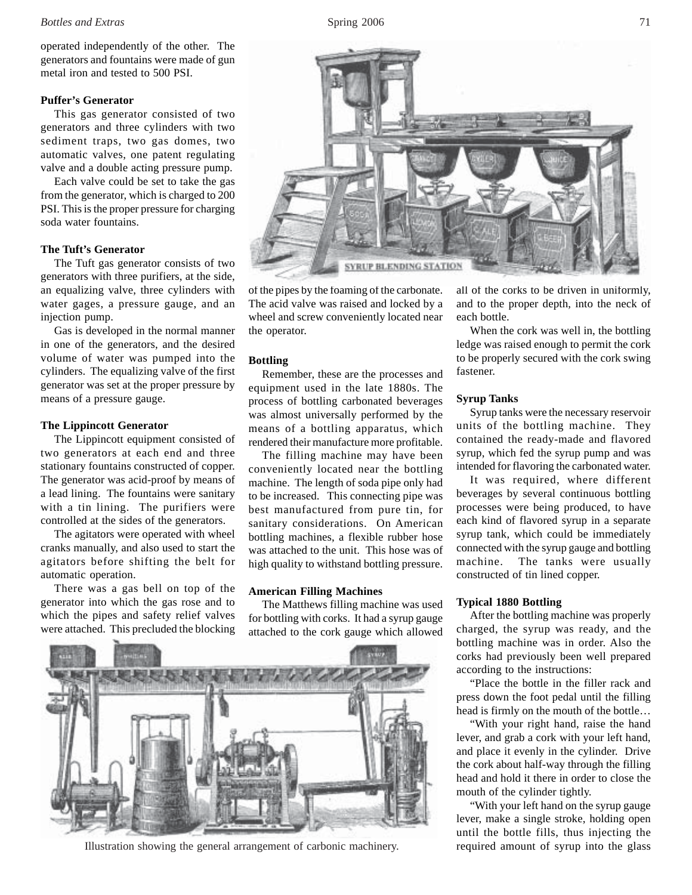#### *Bottles and Extras* 5 and 2006 71

operated independently of the other. The generators and fountains were made of gun metal iron and tested to 500 PSI.

### **Puffer's Generator**

This gas generator consisted of two generators and three cylinders with two sediment traps, two gas domes, two automatic valves, one patent regulating valve and a double acting pressure pump.

Each valve could be set to take the gas from the generator, which is charged to 200 PSI. This is the proper pressure for charging soda water fountains.

# **The Tuft's Generator**

The Tuft gas generator consists of two generators with three purifiers, at the side, an equalizing valve, three cylinders with water gages, a pressure gauge, and an injection pump.

Gas is developed in the normal manner in one of the generators, and the desired volume of water was pumped into the cylinders. The equalizing valve of the first generator was set at the proper pressure by means of a pressure gauge.

#### **The Lippincott Generator**

The Lippincott equipment consisted of two generators at each end and three stationary fountains constructed of copper. The generator was acid-proof by means of a lead lining. The fountains were sanitary with a tin lining. The purifiers were controlled at the sides of the generators.

The agitators were operated with wheel cranks manually, and also used to start the agitators before shifting the belt for automatic operation.

There was a gas bell on top of the generator into which the gas rose and to which the pipes and safety relief valves were attached. This precluded the blocking



of the pipes by the foaming of the carbonate. The acid valve was raised and locked by a wheel and screw conveniently located near the operator.

#### **Bottling**

Remember, these are the processes and equipment used in the late 1880s. The process of bottling carbonated beverages was almost universally performed by the means of a bottling apparatus, which rendered their manufacture more profitable.

The filling machine may have been conveniently located near the bottling machine. The length of soda pipe only had to be increased. This connecting pipe was best manufactured from pure tin, for sanitary considerations. On American bottling machines, a flexible rubber hose was attached to the unit. This hose was of high quality to withstand bottling pressure.

# **American Filling Machines**

The Matthews filling machine was used for bottling with corks. It had a syrup gauge attached to the cork gauge which allowed



Illustration showing the general arrangement of carbonic machinery. required amount of syrup into the glass

all of the corks to be driven in uniformly, and to the proper depth, into the neck of each bottle.

When the cork was well in, the bottling ledge was raised enough to permit the cork to be properly secured with the cork swing fastener.

# **Syrup Tanks**

Syrup tanks were the necessary reservoir units of the bottling machine. They contained the ready-made and flavored syrup, which fed the syrup pump and was intended for flavoring the carbonated water.

It was required, where different beverages by several continuous bottling processes were being produced, to have each kind of flavored syrup in a separate syrup tank, which could be immediately connected with the syrup gauge and bottling machine. The tanks were usually constructed of tin lined copper.

### **Typical 1880 Bottling**

After the bottling machine was properly charged, the syrup was ready, and the bottling machine was in order. Also the corks had previously been well prepared according to the instructions:

"Place the bottle in the filler rack and press down the foot pedal until the filling head is firmly on the mouth of the bottle…

"With your right hand, raise the hand lever, and grab a cork with your left hand, and place it evenly in the cylinder. Drive the cork about half-way through the filling head and hold it there in order to close the mouth of the cylinder tightly.

"With your left hand on the syrup gauge lever, make a single stroke, holding open until the bottle fills, thus injecting the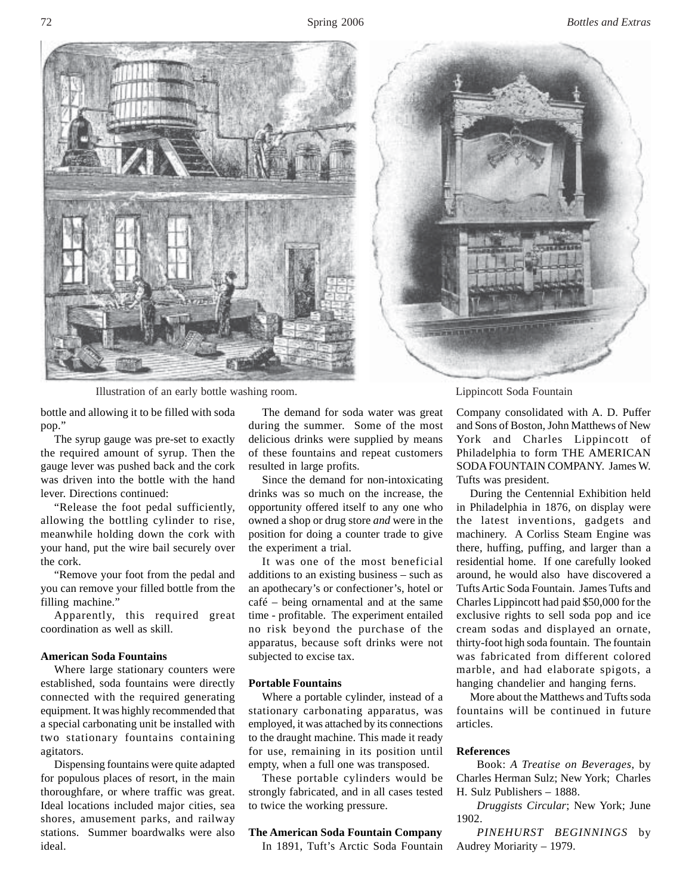

Illustration of an early bottle washing room. Lippincott Soda Fountain

近常調整期

bottle and allowing it to be filled with soda pop."

The syrup gauge was pre-set to exactly the required amount of syrup. Then the gauge lever was pushed back and the cork was driven into the bottle with the hand lever. Directions continued:

"Release the foot pedal sufficiently, allowing the bottling cylinder to rise, meanwhile holding down the cork with your hand, put the wire bail securely over the cork.

"Remove your foot from the pedal and you can remove your filled bottle from the filling machine.'

Apparently, this required great coordination as well as skill.

### **American Soda Fountains**

Where large stationary counters were established, soda fountains were directly connected with the required generating equipment. It was highly recommended that a special carbonating unit be installed with two stationary fountains containing agitators.

Dispensing fountains were quite adapted for populous places of resort, in the main thoroughfare, or where traffic was great. Ideal locations included major cities, sea shores, amusement parks, and railway stations. Summer boardwalks were also ideal.

The demand for soda water was great during the summer. Some of the most delicious drinks were supplied by means of these fountains and repeat customers resulted in large profits.

Since the demand for non-intoxicating drinks was so much on the increase, the opportunity offered itself to any one who owned a shop or drug store *and* were in the position for doing a counter trade to give the experiment a trial.

It was one of the most beneficial additions to an existing business – such as an apothecary's or confectioner's, hotel or café – being ornamental and at the same time - profitable. The experiment entailed no risk beyond the purchase of the apparatus, because soft drinks were not subjected to excise tax.

#### **Portable Fountains**

Where a portable cylinder, instead of a stationary carbonating apparatus, was employed, it was attached by its connections to the draught machine. This made it ready for use, remaining in its position until empty, when a full one was transposed.

These portable cylinders would be strongly fabricated, and in all cases tested to twice the working pressure.

#### **The American Soda Fountain Company**

In 1891, Tuft's Arctic Soda Fountain

Company consolidated with A. D. Puffer and Sons of Boston, John Matthews of New York and Charles Lippincott of Philadelphia to form THE AMERICAN SODA FOUNTAIN COMPANY. James W. Tufts was president.

During the Centennial Exhibition held in Philadelphia in 1876, on display were the latest inventions, gadgets and machinery. A Corliss Steam Engine was there, huffing, puffing, and larger than a residential home. If one carefully looked around, he would also have discovered a Tufts Artic Soda Fountain. James Tufts and Charles Lippincott had paid \$50,000 for the exclusive rights to sell soda pop and ice cream sodas and displayed an ornate, thirty-foot high soda fountain. The fountain was fabricated from different colored marble, and had elaborate spigots, a hanging chandelier and hanging ferns.

More about the Matthews and Tufts soda fountains will be continued in future articles.

#### **References**

Book: *A Treatise on Beverages*, by Charles Herman Sulz; New York; Charles H. Sulz Publishers – 1888.

*Druggists Circular*; New York; June 1902.

*PINEHURST BEGINNINGS* by Audrey Moriarity – 1979.